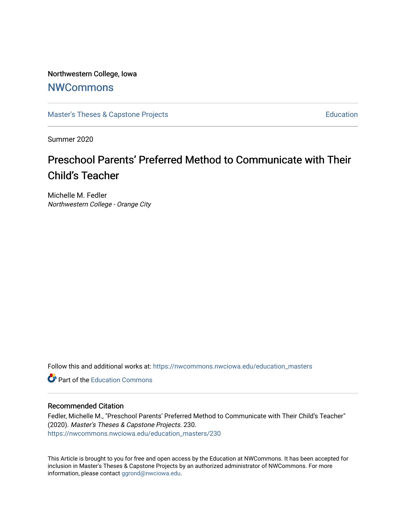Northwestern College, Iowa

# **[NWCommons](https://nwcommons.nwciowa.edu/)**

[Master's Theses & Capstone Projects](https://nwcommons.nwciowa.edu/education_masters) **Education** Education

Summer 2020

# Preschool Parents' Preferred Method to Communicate with Their Child's Teacher

Michelle M. Fedler Northwestern College - Orange City

Follow this and additional works at: [https://nwcommons.nwciowa.edu/education\\_masters](https://nwcommons.nwciowa.edu/education_masters?utm_source=nwcommons.nwciowa.edu%2Feducation_masters%2F230&utm_medium=PDF&utm_campaign=PDFCoverPages)

**C** Part of the [Education Commons](http://network.bepress.com/hgg/discipline/784?utm_source=nwcommons.nwciowa.edu%2Feducation_masters%2F230&utm_medium=PDF&utm_campaign=PDFCoverPages)

# Recommended Citation

Fedler, Michelle M., "Preschool Parents' Preferred Method to Communicate with Their Child's Teacher" (2020). Master's Theses & Capstone Projects. 230. [https://nwcommons.nwciowa.edu/education\\_masters/230](https://nwcommons.nwciowa.edu/education_masters/230?utm_source=nwcommons.nwciowa.edu%2Feducation_masters%2F230&utm_medium=PDF&utm_campaign=PDFCoverPages)

This Article is brought to you for free and open access by the Education at NWCommons. It has been accepted for inclusion in Master's Theses & Capstone Projects by an authorized administrator of NWCommons. For more information, please contact [ggrond@nwciowa.edu](mailto:ggrond@nwciowa.edu).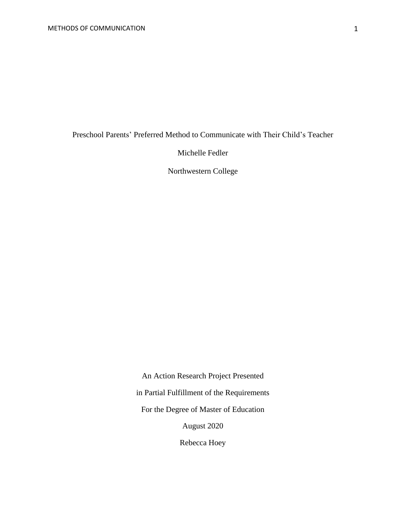Preschool Parents' Preferred Method to Communicate with Their Child's Teacher

Michelle Fedler

Northwestern College

An Action Research Project Presented in Partial Fulfillment of the Requirements For the Degree of Master of Education August 2020 Rebecca Hoey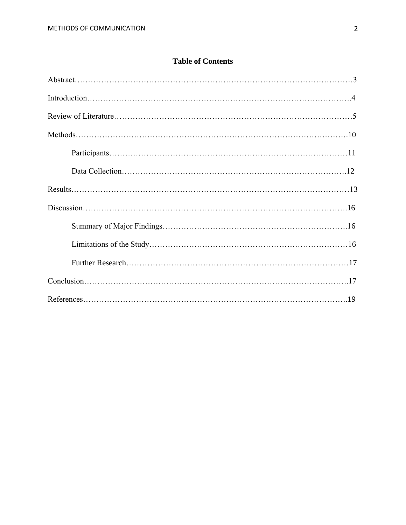# **Table of Contents**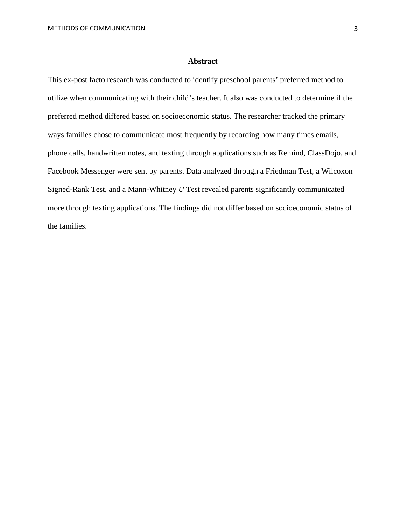#### **Abstract**

This ex-post facto research was conducted to identify preschool parents' preferred method to utilize when communicating with their child's teacher. It also was conducted to determine if the preferred method differed based on socioeconomic status. The researcher tracked the primary ways families chose to communicate most frequently by recording how many times emails, phone calls, handwritten notes, and texting through applications such as Remind, ClassDojo, and Facebook Messenger were sent by parents. Data analyzed through a Friedman Test, a Wilcoxon Signed-Rank Test, and a Mann-Whitney *U* Test revealed parents significantly communicated more through texting applications. The findings did not differ based on socioeconomic status of the families.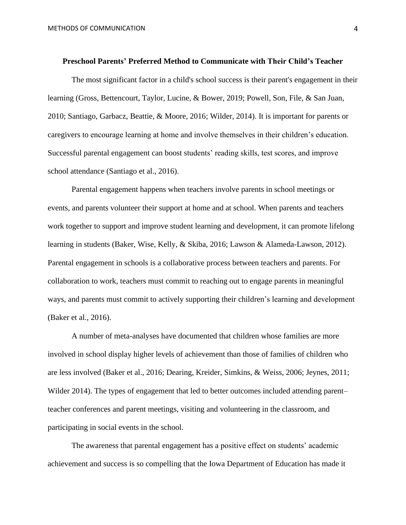#### **Preschool Parents' Preferred Method to Communicate with Their Child's Teacher**

The most significant factor in a child's school success is their parent's engagement in their learning (Gross, Bettencourt, Taylor, Lucine, & Bower, 2019; Powell, Son, File, & San Juan, 2010; Santiago, Garbacz, Beattie, & Moore, 2016; Wilder, 2014). It is important for parents or caregivers to encourage learning at home and involve themselves in their children's education. Successful parental engagement can boost students' reading skills, test scores, and improve school attendance (Santiago et al., 2016).

Parental engagement happens when teachers involve parents in school meetings or events, and parents volunteer their support at home and at school. When parents and teachers work together to support and improve student learning and development, it can promote lifelong learning in students (Baker, Wise, Kelly, & Skiba, 2016; Lawson & Alameda-Lawson, 2012). Parental engagement in schools is a collaborative process between teachers and parents. For collaboration to work, teachers must commit to reaching out to engage parents in meaningful ways, and parents must commit to actively supporting their children's learning and development (Baker et al., 2016).

A number of meta-analyses have documented that children whose families are more involved in school display higher levels of achievement than those of families of children who are less involved (Baker et al., 2016; Dearing, Kreider, Simkins, & Weiss, 2006; Jeynes, 2011; Wilder 2014). The types of engagement that led to better outcomes included attending parent– teacher conferences and parent meetings, visiting and volunteering in the classroom, and participating in social events in the school.

The awareness that parental engagement has a positive effect on students' academic achievement and success is so compelling that the Iowa Department of Education has made it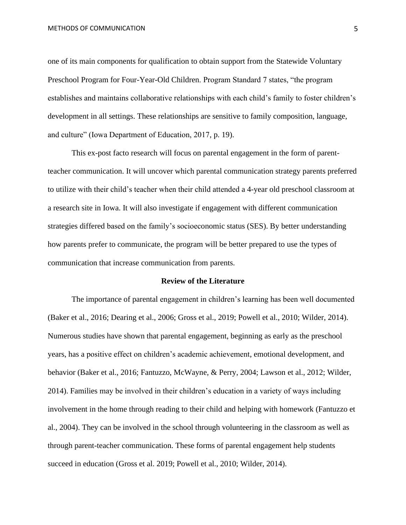one of its main components for qualification to obtain support from the Statewide Voluntary Preschool Program for Four-Year-Old Children. Program Standard 7 states, "the program establishes and maintains collaborative relationships with each child's family to foster children's development in all settings. These relationships are sensitive to family composition, language, and culture" (Iowa Department of Education, 2017, p. 19).

This ex-post facto research will focus on parental engagement in the form of parentteacher communication. It will uncover which parental communication strategy parents preferred to utilize with their child's teacher when their child attended a 4-year old preschool classroom at a research site in Iowa. It will also investigate if engagement with different communication strategies differed based on the family's socioeconomic status (SES). By better understanding how parents prefer to communicate, the program will be better prepared to use the types of communication that increase communication from parents.

# **Review of the Literature**

The importance of parental engagement in children's learning has been well documented (Baker et al., 2016; Dearing et al., 2006; Gross et al., 2019; Powell et al., 2010; Wilder, 2014). Numerous studies have shown that parental engagement, beginning as early as the preschool years, has a positive effect on children's academic achievement, emotional development, and behavior (Baker et al., 2016; Fantuzzo, McWayne, & Perry, 2004; Lawson et al., 2012; Wilder, 2014). Families may be involved in their children's education in a variety of ways including involvement in the home through reading to their child and helping with homework (Fantuzzo et al., 2004). They can be involved in the school through volunteering in the classroom as well as through parent-teacher communication. These forms of parental engagement help students succeed in education (Gross et al. 2019; Powell et al., 2010; Wilder, 2014).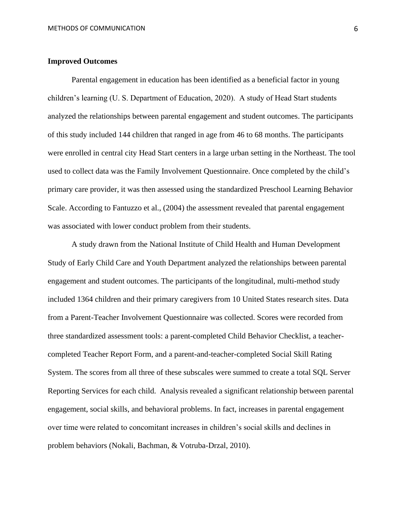# **Improved Outcomes**

Parental engagement in education has been identified as a beneficial factor in young children's learning (U. S. Department of Education, 2020). A study of Head Start students analyzed the relationships between parental engagement and student outcomes. The participants of this study included 144 children that ranged in age from 46 to 68 months. The participants were enrolled in central city Head Start centers in a large urban setting in the Northeast. The tool used to collect data was the Family Involvement Questionnaire. Once completed by the child's primary care provider, it was then assessed using the standardized Preschool Learning Behavior Scale. According to Fantuzzo et al., (2004) the assessment revealed that parental engagement was associated with lower conduct problem from their students.

A study drawn from the National Institute of Child Health and Human Development Study of Early Child Care and Youth Department analyzed the relationships between parental engagement and student outcomes. The participants of the longitudinal, multi-method study included 1364 children and their primary caregivers from 10 United States research sites. Data from a Parent-Teacher Involvement Questionnaire was collected. Scores were recorded from three standardized assessment tools: a parent-completed Child Behavior Checklist, a teachercompleted Teacher Report Form, and a parent-and-teacher-completed Social Skill Rating System. The scores from all three of these subscales were summed to create a total SQL Server Reporting Services for each child. Analysis revealed a significant relationship between parental engagement, social skills, and behavioral problems. In fact, increases in parental engagement over time were related to concomitant increases in children's social skills and declines in problem behaviors (Nokali, Bachman, & Votruba-Drzal, 2010).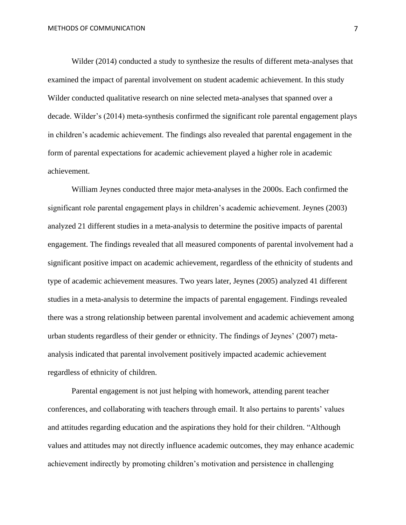Wilder (2014) conducted a study to synthesize the results of different meta-analyses that examined the impact of parental involvement on student academic achievement. In this study Wilder conducted qualitative research on nine selected meta-analyses that spanned over a decade. Wilder's (2014) meta-synthesis confirmed the significant role parental engagement plays in children's academic achievement. The findings also revealed that parental engagement in the form of parental expectations for academic achievement played a higher role in academic achievement.

William Jeynes conducted three major meta-analyses in the 2000s. Each confirmed the significant role parental engagement plays in children's academic achievement. Jeynes (2003) analyzed 21 different studies in a meta-analysis to determine the positive impacts of parental engagement. The findings revealed that all measured components of parental involvement had a significant positive impact on academic achievement, regardless of the ethnicity of students and type of academic achievement measures. Two years later, Jeynes (2005) analyzed 41 different studies in a meta-analysis to determine the impacts of parental engagement. Findings revealed there was a strong relationship between parental involvement and academic achievement among urban students regardless of their gender or ethnicity. The findings of Jeynes' (2007) metaanalysis indicated that parental involvement positively impacted academic achievement regardless of ethnicity of children.

Parental engagement is not just helping with homework, attending parent teacher conferences, and collaborating with teachers through email. It also pertains to parents' values and attitudes regarding education and the aspirations they hold for their children. "Although values and attitudes may not directly influence academic outcomes, they may enhance academic achievement indirectly by promoting children's motivation and persistence in challenging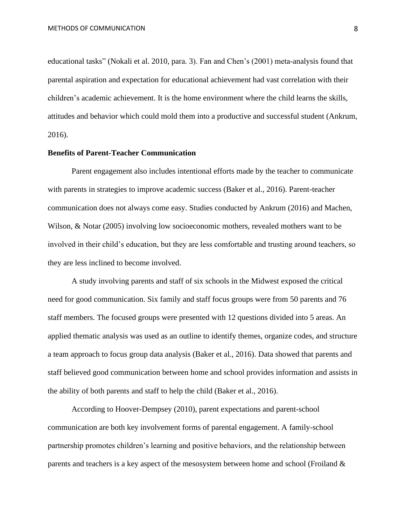educational tasks" (Nokali et al. 2010, para. 3). Fan and Chen's (2001) meta-analysis found that parental aspiration and expectation for educational achievement had vast correlation with their children's academic achievement. It is the home environment where the child learns the skills, attitudes and behavior which could mold them into a productive and successful student (Ankrum, 2016).

# **Benefits of Parent-Teacher Communication**

Parent engagement also includes intentional efforts made by the teacher to communicate with parents in strategies to improve academic success (Baker et al., 2016). Parent-teacher communication does not always come easy. Studies conducted by Ankrum (2016) and Machen, Wilson, & Notar (2005) involving low socioeconomic mothers, revealed mothers want to be involved in their child's education, but they are less comfortable and trusting around teachers, so they are less inclined to become involved.

A study involving parents and staff of six schools in the Midwest exposed the critical need for good communication. Six family and staff focus groups were from 50 parents and 76 staff members. The focused groups were presented with 12 questions divided into 5 areas. An applied thematic analysis was used as an outline to identify themes, organize codes, and structure a team approach to focus group data analysis (Baker et al., 2016). Data showed that parents and staff believed good communication between home and school provides information and assists in the ability of both parents and staff to help the child (Baker et al., 2016).

According to Hoover-Dempsey (2010), parent expectations and parent-school communication are both key involvement forms of parental engagement. A family-school partnership promotes children's learning and positive behaviors, and the relationship between parents and teachers is a key aspect of the mesosystem between home and school (Froiland &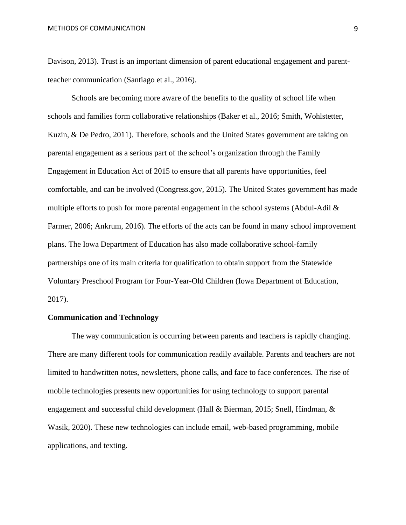Davison, 2013). Trust is an important dimension of parent educational engagement and parentteacher communication (Santiago et al., 2016).

Schools are becoming more aware of the benefits to the quality of school life when schools and families form collaborative relationships (Baker et al., 2016; Smith, Wohlstetter, Kuzin, & De Pedro, 2011). Therefore, schools and the United States government are taking on parental engagement as a serious part of the school's organization through the Family Engagement in Education Act of 2015 to ensure that all parents have opportunities, feel comfortable, and can be involved (Congress.gov, 2015). The United States government has made multiple efforts to push for more parental engagement in the school systems (Abdul-Adil & Farmer, 2006; Ankrum, 2016). The efforts of the acts can be found in many school improvement plans. The Iowa Department of Education has also made collaborative school-family partnerships one of its main criteria for qualification to obtain support from the Statewide Voluntary Preschool Program for Four-Year-Old Children (Iowa Department of Education, 2017).

# **Communication and Technology**

The way communication is occurring between parents and teachers is rapidly changing. There are many different tools for communication readily available. Parents and teachers are not limited to handwritten notes, newsletters, phone calls, and face to face conferences. The rise of mobile technologies presents new opportunities for using technology to support parental engagement and successful child development (Hall & Bierman, 2015; Snell, Hindman, & Wasik, 2020). These new technologies can include email, web-based programming, mobile applications, and texting.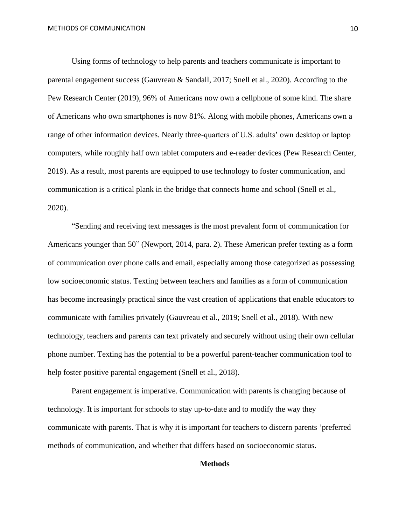Using forms of technology to help parents and teachers communicate is important to parental engagement success (Gauvreau & Sandall, 2017; Snell et al., 2020). According to the Pew Research Center (2019), 96% of Americans now own a cellphone of some kind. The share of Americans who own smartphones is now 81%. Along with mobile phones, Americans own a range of other information devices. Nearly three-quarters of U.S. adults' own desktop or laptop computers, while roughly half own tablet computers and e-reader devices (Pew Research Center, 2019). As a result, most parents are equipped to use technology to foster communication, and communication is a critical plank in the bridge that connects home and school (Snell et al., 2020).

"Sending and receiving text messages is the most prevalent form of communication for Americans younger than 50" (Newport, 2014, para. 2). These American prefer texting as a form of communication over phone calls and email, especially among those categorized as possessing low socioeconomic status. Texting between teachers and families as a form of communication has become increasingly practical since the vast creation of applications that enable educators to communicate with families privately (Gauvreau et al., 2019; Snell et al., 2018). With new technology, teachers and parents can text privately and securely without using their own cellular phone number. Texting has the potential to be a powerful parent-teacher communication tool to help foster positive parental engagement (Snell et al., 2018).

Parent engagement is imperative. Communication with parents is changing because of technology. It is important for schools to stay up-to-date and to modify the way they communicate with parents. That is why it is important for teachers to discern parents 'preferred methods of communication, and whether that differs based on socioeconomic status.

# **Methods**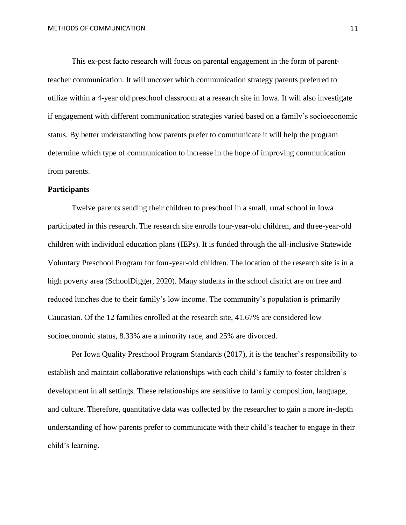This ex-post facto research will focus on parental engagement in the form of parentteacher communication. It will uncover which communication strategy parents preferred to utilize within a 4-year old preschool classroom at a research site in Iowa. It will also investigate if engagement with different communication strategies varied based on a family's socioeconomic status. By better understanding how parents prefer to communicate it will help the program determine which type of communication to increase in the hope of improving communication from parents.

#### **Participants**

Twelve parents sending their children to preschool in a small, rural school in Iowa participated in this research. The research site enrolls four-year-old children, and three-year-old children with individual education plans (IEPs). It is funded through the all-inclusive Statewide Voluntary Preschool Program for four-year-old children. The location of the research site is in a high poverty area (SchoolDigger, 2020). Many students in the school district are on free and reduced lunches due to their family's low income. The community's population is primarily Caucasian. Of the 12 families enrolled at the research site, 41.67% are considered low socioeconomic status, 8.33% are a minority race, and 25% are divorced.

Per Iowa Quality Preschool Program Standards (2017), it is the teacher's responsibility to establish and maintain collaborative relationships with each child's family to foster children's development in all settings. These relationships are sensitive to family composition, language, and culture. Therefore, quantitative data was collected by the researcher to gain a more in-depth understanding of how parents prefer to communicate with their child's teacher to engage in their child's learning.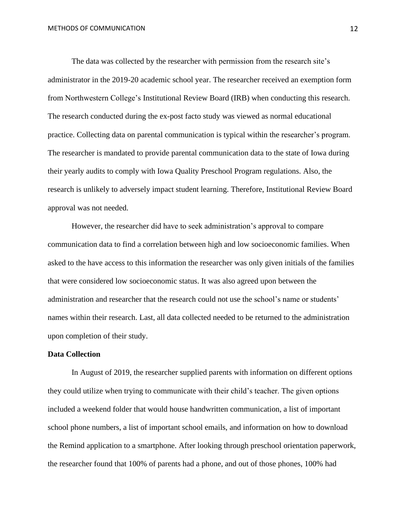The data was collected by the researcher with permission from the research site's administrator in the 2019-20 academic school year. The researcher received an exemption form from Northwestern College's Institutional Review Board (IRB) when conducting this research. The research conducted during the ex-post facto study was viewed as normal educational practice. Collecting data on parental communication is typical within the researcher's program. The researcher is mandated to provide parental communication data to the state of Iowa during their yearly audits to comply with Iowa Quality Preschool Program regulations. Also, the research is unlikely to adversely impact student learning. Therefore, Institutional Review Board approval was not needed.

However, the researcher did have to seek administration's approval to compare communication data to find a correlation between high and low socioeconomic families. When asked to the have access to this information the researcher was only given initials of the families that were considered low socioeconomic status. It was also agreed upon between the administration and researcher that the research could not use the school's name or students' names within their research. Last, all data collected needed to be returned to the administration upon completion of their study.

# **Data Collection**

In August of 2019, the researcher supplied parents with information on different options they could utilize when trying to communicate with their child's teacher. The given options included a weekend folder that would house handwritten communication, a list of important school phone numbers, a list of important school emails, and information on how to download the Remind application to a smartphone. After looking through preschool orientation paperwork, the researcher found that 100% of parents had a phone, and out of those phones, 100% had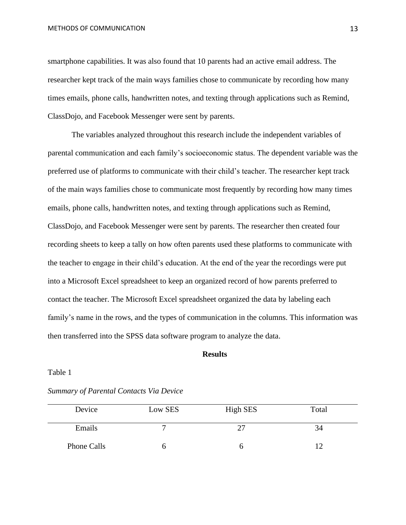smartphone capabilities. It was also found that 10 parents had an active email address. The researcher kept track of the main ways families chose to communicate by recording how many times emails, phone calls, handwritten notes, and texting through applications such as Remind, ClassDojo, and Facebook Messenger were sent by parents.

The variables analyzed throughout this research include the independent variables of parental communication and each family's socioeconomic status. The dependent variable was the preferred use of platforms to communicate with their child's teacher. The researcher kept track of the main ways families chose to communicate most frequently by recording how many times emails, phone calls, handwritten notes, and texting through applications such as Remind, ClassDojo, and Facebook Messenger were sent by parents. The researcher then created four recording sheets to keep a tally on how often parents used these platforms to communicate with the teacher to engage in their child's education. At the end of the year the recordings were put into a Microsoft Excel spreadsheet to keep an organized record of how parents preferred to contact the teacher. The Microsoft Excel spreadsheet organized the data by labeling each family's name in the rows, and the types of communication in the columns. This information was then transferred into the SPSS data software program to analyze the data.

### **Results**

#### Table 1

| Device      | Low SES | High SES | Total |
|-------------|---------|----------|-------|
| Emails      |         |          | 34    |
| Phone Calls |         |          |       |

*Summary of Parental Contacts Via Device*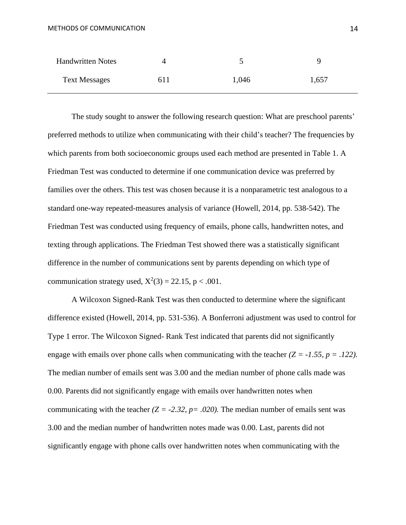| <b>Handwritten Notes</b> |     |       |       |
|--------------------------|-----|-------|-------|
| <b>Text Messages</b>     | 611 | 1,046 | 1,657 |

The study sought to answer the following research question: What are preschool parents' preferred methods to utilize when communicating with their child's teacher? The frequencies by which parents from both socioeconomic groups used each method are presented in Table 1. A Friedman Test was conducted to determine if one communication device was preferred by families over the others. This test was chosen because it is a nonparametric test analogous to a standard one-way repeated-measures analysis of variance (Howell, 2014, pp. 538-542). The Friedman Test was conducted using frequency of emails, phone calls, handwritten notes, and texting through applications. The Friedman Test showed there was a statistically significant difference in the number of communications sent by parents depending on which type of communication strategy used,  $X^2(3) = 22.15$ , p < .001.

A Wilcoxon Signed-Rank Test was then conducted to determine where the significant difference existed (Howell, 2014, pp. 531-536). A Bonferroni adjustment was used to control for Type 1 error. The Wilcoxon Signed- Rank Test indicated that parents did not significantly engage with emails over phone calls when communicating with the teacher *(Z = -1.55, p = .122).* The median number of emails sent was 3.00 and the median number of phone calls made was 0.00. Parents did not significantly engage with emails over handwritten notes when communicating with the teacher  $(Z = -2.32, p = .020)$ . The median number of emails sent was 3.00 and the median number of handwritten notes made was 0.00. Last, parents did not significantly engage with phone calls over handwritten notes when communicating with the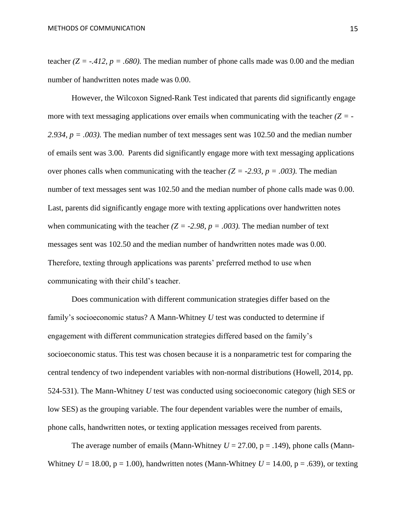teacher  $(Z = -0.412, p = 0.680)$ . The median number of phone calls made was 0.00 and the median number of handwritten notes made was 0.00.

However, the Wilcoxon Signed-Rank Test indicated that parents did significantly engage more with text messaging applications over emails when communicating with the teacher *(Z = - 2.934, p = .003).* The median number of text messages sent was 102.50 and the median number of emails sent was 3.00. Parents did significantly engage more with text messaging applications over phones calls when communicating with the teacher  $(Z = -2.93, p = .003)$ . The median number of text messages sent was 102.50 and the median number of phone calls made was 0.00. Last, parents did significantly engage more with texting applications over handwritten notes when communicating with the teacher  $(Z = -2.98, p = .003)$ . The median number of text messages sent was 102.50 and the median number of handwritten notes made was 0.00. Therefore, texting through applications was parents' preferred method to use when communicating with their child's teacher.

Does communication with different communication strategies differ based on the family's socioeconomic status? A Mann-Whitney *U* test was conducted to determine if engagement with different communication strategies differed based on the family's socioeconomic status. This test was chosen because it is a nonparametric test for comparing the central tendency of two independent variables with non-normal distributions (Howell, 2014, pp. 524-531). The Mann-Whitney *U* test was conducted using socioeconomic category (high SES or low SES) as the grouping variable. The four dependent variables were the number of emails, phone calls, handwritten notes, or texting application messages received from parents.

The average number of emails (Mann-Whitney  $U = 27.00$ ,  $p = .149$ ), phone calls (Mann-Whitney  $U = 18.00$ ,  $p = 1.00$ ), handwritten notes (Mann-Whitney  $U = 14.00$ ,  $p = .639$ ), or texting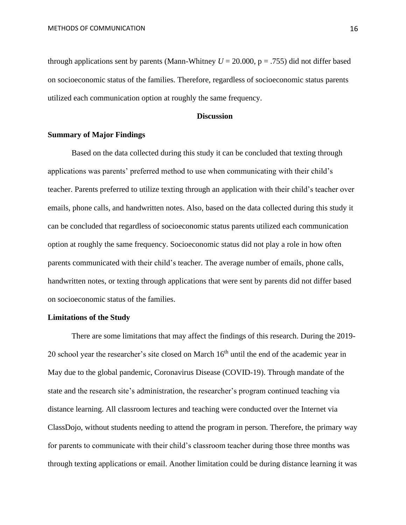through applications sent by parents (Mann-Whitney  $U = 20.000$ ,  $p = .755$ ) did not differ based on socioeconomic status of the families. Therefore, regardless of socioeconomic status parents utilized each communication option at roughly the same frequency.

#### **Discussion**

# **Summary of Major Findings**

Based on the data collected during this study it can be concluded that texting through applications was parents' preferred method to use when communicating with their child's teacher. Parents preferred to utilize texting through an application with their child's teacher over emails, phone calls, and handwritten notes. Also, based on the data collected during this study it can be concluded that regardless of socioeconomic status parents utilized each communication option at roughly the same frequency. Socioeconomic status did not play a role in how often parents communicated with their child's teacher. The average number of emails, phone calls, handwritten notes, or texting through applications that were sent by parents did not differ based on socioeconomic status of the families.

# **Limitations of the Study**

There are some limitations that may affect the findings of this research. During the 2019- 20 school year the researcher's site closed on March  $16<sup>th</sup>$  until the end of the academic year in May due to the global pandemic, Coronavirus Disease (COVID-19). Through mandate of the state and the research site's administration, the researcher's program continued teaching via distance learning. All classroom lectures and teaching were conducted over the Internet via ClassDojo, without students needing to attend the program in person. Therefore, the primary way for parents to communicate with their child's classroom teacher during those three months was through texting applications or email. Another limitation could be during distance learning it was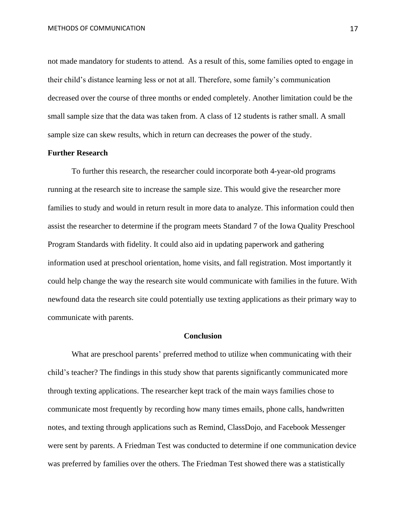not made mandatory for students to attend. As a result of this, some families opted to engage in their child's distance learning less or not at all. Therefore, some family's communication decreased over the course of three months or ended completely. Another limitation could be the small sample size that the data was taken from. A class of 12 students is rather small. A small sample size can skew results, which in return can decreases the power of the study.

# **Further Research**

To further this research, the researcher could incorporate both 4-year-old programs running at the research site to increase the sample size. This would give the researcher more families to study and would in return result in more data to analyze. This information could then assist the researcher to determine if the program meets Standard 7 of the Iowa Quality Preschool Program Standards with fidelity. It could also aid in updating paperwork and gathering information used at preschool orientation, home visits, and fall registration. Most importantly it could help change the way the research site would communicate with families in the future. With newfound data the research site could potentially use texting applications as their primary way to communicate with parents.

# **Conclusion**

What are preschool parents' preferred method to utilize when communicating with their child's teacher? The findings in this study show that parents significantly communicated more through texting applications. The researcher kept track of the main ways families chose to communicate most frequently by recording how many times emails, phone calls, handwritten notes, and texting through applications such as Remind, ClassDojo, and Facebook Messenger were sent by parents. A Friedman Test was conducted to determine if one communication device was preferred by families over the others. The Friedman Test showed there was a statistically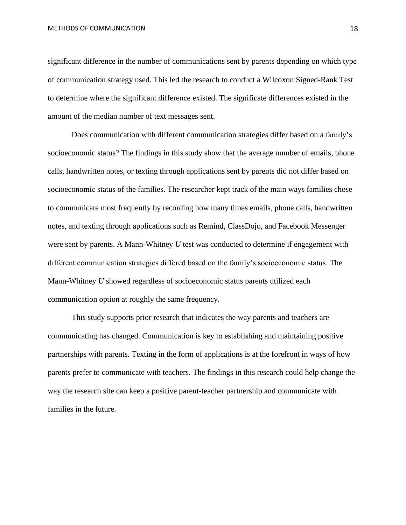significant difference in the number of communications sent by parents depending on which type of communication strategy used. This led the research to conduct a Wilcoxon Signed-Rank Test to determine where the significant difference existed. The significate differences existed in the amount of the median number of text messages sent.

Does communication with different communication strategies differ based on a family's socioeconomic status? The findings in this study show that the average number of emails, phone calls, handwritten notes, or texting through applications sent by parents did not differ based on socioeconomic status of the families. The researcher kept track of the main ways families chose to communicate most frequently by recording how many times emails, phone calls, handwritten notes, and texting through applications such as Remind, ClassDojo, and Facebook Messenger were sent by parents. A Mann-Whitney *U* test was conducted to determine if engagement with different communication strategies differed based on the family's socioeconomic status. The Mann-Whitney *U* showed regardless of socioeconomic status parents utilized each communication option at roughly the same frequency.

This study supports prior research that indicates the way parents and teachers are communicating has changed. Communication is key to establishing and maintaining positive partnerships with parents. Texting in the form of applications is at the forefront in ways of how parents prefer to communicate with teachers. The findings in this research could help change the way the research site can keep a positive parent-teacher partnership and communicate with families in the future.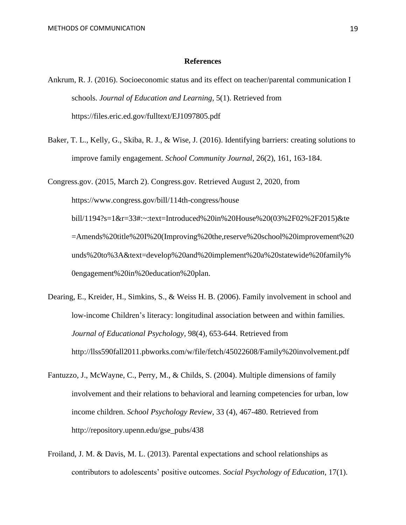#### **References**

- Ankrum, R. J. (2016). Socioeconomic status and its effect on teacher/parental communication I schools. *Journal of Education and Learning*, 5(1). Retrieved from <https://files.eric.ed.gov/fulltext/EJ1097805.pdf>
- Baker, T. L., Kelly, G., Skiba, R. J., & Wise, J. (2016). Identifying barriers: creating solutions to improve family engagement. *School Community Journal*, 26(2), 161, 163-184.

Congress.gov. (2015, March 2). Congress.gov. Retrieved August 2, 2020, from [https://www.congress.gov/bill/114th-congress/house](https://www.congress.gov/bill/114th-congress/house-bill/1194?s=1&r=33#:~:text=Introduced%20in%20House%20(03%2F02%2F2015)&text=Amends%20title%20I%20(Improving%20the,reserve%20school%20improvement%20funds%20to%3A&text=develop%20and%20implement%20a%20statewide%20family%20engagement%20in%20education%20plan.) [bill/1194?s=1&r=33#:~:text=Introduced%20in%20House%20\(03%2F02%2F2015\)&te](https://www.congress.gov/bill/114th-congress/house-bill/1194?s=1&r=33#:~:text=Introduced%20in%20House%20(03%2F02%2F2015)&text=Amends%20title%20I%20(Improving%20the,reserve%20school%20improvement%20funds%20to%3A&text=develop%20and%20implement%20a%20statewide%20family%20engagement%20in%20education%20plan.) [=Amends%20title%20I%20\(Improving%20the,reserve%20school%20improvement%20](https://www.congress.gov/bill/114th-congress/house-bill/1194?s=1&r=33#:~:text=Introduced%20in%20House%20(03%2F02%2F2015)&text=Amends%20title%20I%20(Improving%20the,reserve%20school%20improvement%20funds%20to%3A&text=develop%20and%20implement%20a%20statewide%20family%20engagement%20in%20education%20plan.) [unds%20to%3A&text=develop%20and%20implement%20a%20statewide%20family%](https://www.congress.gov/bill/114th-congress/house-bill/1194?s=1&r=33#:~:text=Introduced%20in%20House%20(03%2F02%2F2015)&text=Amends%20title%20I%20(Improving%20the,reserve%20school%20improvement%20funds%20to%3A&text=develop%20and%20implement%20a%20statewide%20family%20engagement%20in%20education%20plan.) [0engagement%20in%20education%20plan.](https://www.congress.gov/bill/114th-congress/house-bill/1194?s=1&r=33#:~:text=Introduced%20in%20House%20(03%2F02%2F2015)&text=Amends%20title%20I%20(Improving%20the,reserve%20school%20improvement%20funds%20to%3A&text=develop%20and%20implement%20a%20statewide%20family%20engagement%20in%20education%20plan.)

- Dearing, E., Kreider, H., Simkins, S., & Weiss H. B. (2006). Family involvement in school and low-income Children's literacy: longitudinal association between and within families. *Journal of Educational Psychology*, 98(4), 653-644. Retrieved from <http://llss590fall2011.pbworks.com/w/file/fetch/45022608/Family%20involvement.pdf>
- Fantuzzo, J., McWayne, C., Perry, M., & Childs, S. (2004). Multiple dimensions of family involvement and their relations to behavioral and learning competencies for urban, low income children. *School Psychology Review*, 33 (4), 467-480. Retrieved from [http://repository.upenn.edu/gse\\_pubs/438](http://repository.upenn.edu/gse_pubs/438)
- Froiland, J. M. & Davis, M. L. (2013). Parental expectations and school relationships as contributors to adolescents' positive outcomes. *Social Psychology of Education*, 17(1).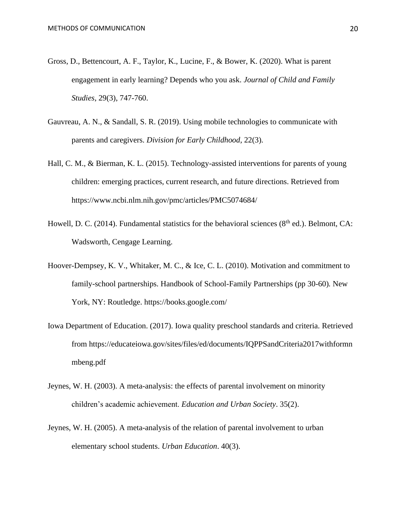- Gross, D., Bettencourt, A. F., Taylor, K., Lucine, F., & Bower, K. (2020). What is parent engagement in early learning? Depends who you ask. *Journal of Child and Family Studies*, 29(3), 747-760.
- Gauvreau, A. N., & Sandall, S. R. (2019). Using mobile technologies to communicate with parents and caregivers. *Division for Early Childhood*, 22(3).
- Hall, C. M., & Bierman, K. L. (2015). Technology-assisted interventions for parents of young children: emerging practices, current research, and future directions. Retrieved from <https://www.ncbi.nlm.nih.gov/pmc/articles/PMC5074684/>
- Howell, D. C. (2014). Fundamental statistics for the behavioral sciences ( $8<sup>th</sup>$  ed.). Belmont, CA: Wadsworth, Cengage Learning.
- Hoover-Dempsey, K. V., Whitaker, M. C., & Ice, C. L. (2010). Motivation and commitment to family-school partnerships. Handbook of School-Family Partnerships (pp 30-60)*.* New York, NY: Routledge.<https://books.google.com/>
- Iowa Department of Education. (2017). Iowa quality preschool standards and criteria. Retrieved from [https://educateiowa.gov/sites/files/ed/documents/IQPPSandCriteria2017withformn](https://educateiowa.gov/sites/files/ed/documents/IQPPSandCriteria2017withformn%09mbeng.pdf) [mbeng.pdf](https://educateiowa.gov/sites/files/ed/documents/IQPPSandCriteria2017withformn%09mbeng.pdf)
- Jeynes, W. H. (2003). A meta-analysis: the effects of parental involvement on minority children's academic achievement. *Education and Urban Society*. 35(2).
- Jeynes, W. H. (2005). A meta-analysis of the relation of parental involvement to urban elementary school students. *Urban Education*. 40(3).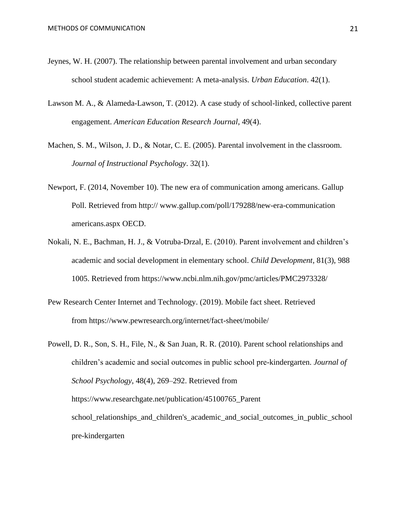- Jeynes, W. H. (2007). The relationship between parental involvement and urban secondary school student academic achievement: A meta-analysis. *Urban Education*. 42(1).
- Lawson M. A., & Alameda-Lawson, T. (2012). A case study of school-linked, collective parent engagement. *American Education Research Journal*, 49(4).
- Machen, S. M., Wilson, J. D., & Notar, C. E. (2005). Parental involvement in the classroom. *Journal of Instructional Psychology*. 32(1).
- Newport, F. (2014, November 10). The new era of communication among americans. Gallup Poll. Retrieved from http:// [www.gallup.com/poll/179288/new-era-communication](http://www.gallup.com/poll/179288/new-era-communication) americans.aspx OECD.
- Nokali, N. E., Bachman, H. J., & Votruba-Drzal, E. (2010). Parent involvement and children's academic and social development in elementary school. *Child Development*, 81(3), 988 1005. Retrieved from<https://www.ncbi.nlm.nih.gov/pmc/articles/PMC2973328/>
- Pew Research Center Internet and Technology. (2019). Mobile fact sheet. Retrieved from <https://www.pewresearch.org/internet/fact-sheet/mobile/>
- Powell, D. R., Son, S. H., File, N., & San Juan, R. R. (2010). Parent school relationships and children's academic and social outcomes in public school pre-kindergarten. *Journal of School Psychology*, 48(4), 269–292. Retrieved from [https://www.researchgate.net/publication/45100765\\_Parent](https://www.researchgate.net/publication/45100765_Parent%09school_relationships_and_children) [school\\_relationships\\_and\\_children's\\_academic\\_and\\_social\\_outcomes\\_in\\_public\\_school](https://www.researchgate.net/publication/45100765_Parent%09school_relationships_and_children) [pre-kindergarten](https://www.researchgate.net/publication/45100765_Parent%09school_relationships_and_children)